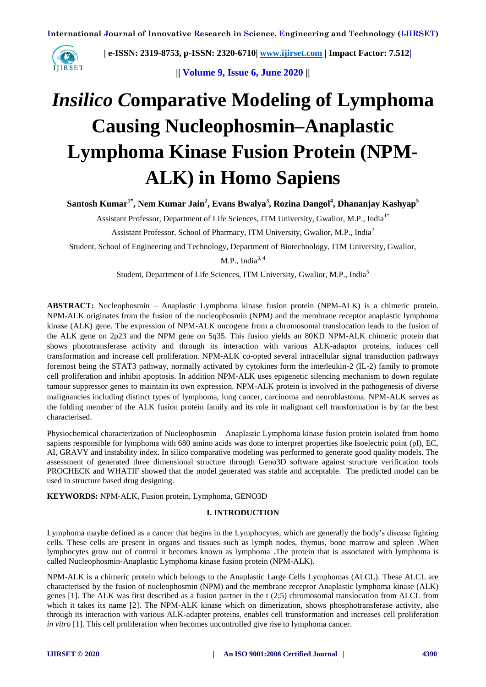

**|| Volume 9, Issue 6, June 2020 ||** 

# *Insilico C***omparative Modeling of Lymphoma Causing Nucleophosmin–Anaplastic Lymphoma Kinase Fusion Protein (NPM-ALK) in Homo Sapiens**

**Santosh Kumar1\* , Nem Kumar Jain<sup>2</sup> , Evans Bwalya<sup>3</sup> , Rozina Dangol<sup>4</sup> , Dhananjay Kashyap<sup>5</sup>**

Assistant Professor, Department of Life Sciences, ITM University, Gwalior, M.P., India1\*

Assistant Professor, School of Pharmacy, ITM University, Gwalior, M.P., India<sup>2</sup>

Student, School of Engineering and Technology, Department of Biotechnology, ITM University, Gwalior,

M.P., India $3,4$ 

Student, Department of Life Sciences, ITM University, Gwalior, M.P., India<sup>5</sup>

**ABSTRACT:** Nucleophosmin – Anaplastic Lymphoma kinase fusion protein (NPM-ALK) is a chimeric protein. NPM-ALK originates from the fusion of the nucleophosmin (NPM) and the membrane receptor anaplastic lymphoma kinase (ALK) gene. The expression of NPM-ALK oncogene from a chromosomal translocation leads to the fusion of the ALK gene on 2p23 and the NPM gene on 5q35. This fusion yields an 80KD NPM-ALK chimeric protein that shows phototransferase activity and through its interaction with various ALK-adaptor proteins, induces cell transformation and increase cell proliferation. NPM-ALK co-opted several intracellular signal transduction pathways foremost being the STAT3 pathway, normally activated by cytokines form the interleukin-2 (IL-2) family to promote cell proliferation and inhibit apoptosis. In addition NPM-ALK uses epigenetic silencing mechanism to down regulate tumour suppressor genes to maintain its own expression. NPM-ALK protein is involved in the pathogenesis of diverse malignancies including distinct types of lymphoma, lung cancer, carcinoma and neuroblastoma. NPM-ALK serves as the folding member of the ALK fusion protein family and its role in malignant cell transformation is by far the best characterised.

Physiochemical characterization of Nucleophosmin – Anaplastic Lymphoma kinase fusion protein isolated from homo sapiens responsible for lymphoma with 680 amino acids was done to interpret properties like Isoelectric point (pI), EC, AI, GRAVY and instability index. In silico comparative modeling was performed to generate good quality models. The assessment of generated three dimensional structure through Geno3D software against structure verification tools PROCHECK and WHATIF showed that the model generated was stable and acceptable. The predicted model can be used in structure based drug designing.

**KEYWORDS:** NPM-ALK, Fusion protein, Lymphoma, GENO3D

## **I. INTRODUCTION**

Lymphoma maybe defined as a cancer that begins in the Lymphocytes, which are generally the body's disease fighting cells. These cells are present in organs and tissues such as lymph nodes, thymus, bone marrow and spleen .When lymphocytes grow out of control it becomes known as lymphoma .The protein that is associated with lymphoma is called Nucleophosmin-Anaplastic Lymphoma kinase fusion protein (NPM-ALK).

NPM-ALK is a chimeric protein which belongs to the Anaplastic Large Cells Lymphomas (ALCL). These ALCL are characterised by the fusion of nucleophosmin (NPM) and the membrane receptor Anaplastic lymphoma kinase (ALK) genes [1]. The ALK was first described as a fusion partner in the t (2;5) chromosomal translocation from ALCL from which it takes its name [2]. The NPM-ALK kinase which on dimerization, shows phosphotransferase activity, also through its interaction with various ALK-adapter proteins, enables cell transformation and increases cell proliferation *in vitro* [1]. This cell proliferation when becomes uncontrolled give rise to lymphoma cancer.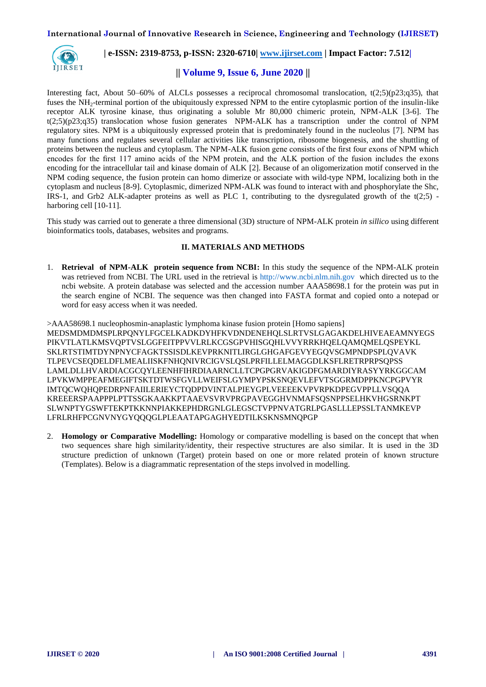

# **|| Volume 9, Issue 6, June 2020 ||**

Interesting fact, About 50–60% of ALCLs possesses a reciprocal chromosomal translocation,  $t(2;5)(p23;q35)$ , that fuses the NH<sub>2</sub>-terminal portion of the ubiquitously expressed NPM to the entire cytoplasmic portion of the insulin-like receptor ALK tyrosine kinase, thus originating a soluble Mr 80,000 chimeric protein, NPM-ALK [3-6]. The  $t(2,5)(p23;q35)$  translocation whose fusion generates NPM-ALK has a transcription under the control of NPM regulatory sites. NPM is a ubiquitously expressed protein that is predominately found in the nucleolus [7]. NPM has many functions and regulates several cellular activities like transcription, ribosome biogenesis, and the shuttling of proteins between the nucleus and cytoplasm. The NPM-ALK fusion gene consists of the first four exons of NPM which encodes for the first 117 amino acids of the NPM protein, and the ALK portion of the fusion includes the exons encoding for the intracellular tail and kinase domain of ALK [2]. Because of an oligomerization motif conserved in the NPM coding sequence, the fusion protein can homo dimerize or associate with wild-type NPM, localizing both in the cytoplasm and nucleus [8-9]. Cytoplasmic, dimerized NPM-ALK was found to interact with and phosphorylate the Shc, IRS-1, and Grb2 ALK-adapter proteins as well as PLC 1, contributing to the dysregulated growth of the t(2;5) harboring cell [10-11].

This study was carried out to generate a three dimensional (3D) structure of NPM-ALK protein *in sillico* using different bioinformatics tools, databases, websites and programs.

### **II. MATERIALS AND METHODS**

1. **Retrieval of NPM-ALK protein sequence from NCBI:** In this study the sequence of the NPM-ALK protein was retrieved from NCBI. The URL used in the retrieval is [http://www.ncbi.nlm.nih.gov](http://www.ncbi.nlm.nih.gov/) which directed us to the ncbi website. A protein database was selected and the accession number AAA58698.1 for the protein was put in the search engine of NCBI. The sequence was then changed into FASTA format and copied onto a notepad or word for easy access when it was needed.

>AAA58698.1 nucleophosmin-anaplastic lymphoma kinase fusion protein [Homo sapiens] MEDSMDMDMSPLRPQNYLFGCELKADKDYHFKVDNDENEHQLSLRTVSLGAGAKDELHIVEAEAMNYEGS PIKVTLATLKMSVQPTVSLGGFEITPPVVLRLKCGSGPVHISGQHLVVYRRKHQELQAMQMELQSPEYKL SKLRTSTIMTDYNPNYCFAGKTSSISDLKEVPRKNITLIRGLGHGAFGEVYEGQVSGMPNDPSPLQVAVK TLPEVCSEQDELDFLMEALIISKFNHQNIVRCIGVSLQSLPRFILLELMAGGDLKSFLRETRPRPSQPSS LAMLDLLHVARDIACGCQYLEENHFIHRDIAARNCLLTCPGPGRVAKIGDFGMARDIYRASYYRKGGCAM LPVKWMPPEAFMEGIFTSKTDTWSFGVLLWEIFSLGYMPYPSKSNQEVLEFVTSGGRMDPPKNCPGPVYR IMTQCWQHQPEDRPNFAIILERIEYCTQDPDVINTALPIEYGPLVEEEEKVPVRPKDPEGVPPLLVSQQA KREEERSPAAPPPLPTTSSGKAAKKPTAAEVSVRVPRGPAVEGGHVNMAFSQSNPPSELHKVHGSRNKPT SLWNPTYGSWFTEKPTKKNNPIAKKEPHDRGNLGLEGSCTVPPNVATGRLPGASLLLEPSSLTANMKEVP LFRLRHFPCGNVNYGYQQQGLPLEAATAPGAGHYEDTILKSKNSMNQPGP

2. **Homology or Comparative Modelling:** Homology or comparative modelling is based on the concept that when two sequences share high similarity/identity, their respective structures are also similar. It is used in the 3D structure prediction of unknown (Target) protein based on one or more related protein of known structure (Templates). Below is a diagrammatic representation of the steps involved in modelling.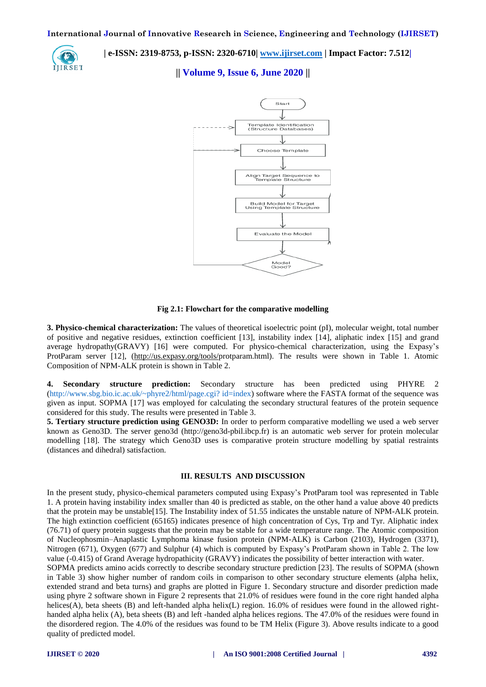IIIRSET

 **| e-ISSN: 2319-8753, p-ISSN: 2320-6710| [www.ijirset.com](http://www.ijirset.com/) | Impact Factor: 7.512|**

**|| Volume 9, Issue 6, June 2020 ||** 



#### **Fig 2.1: Flowchart for the comparative modelling**

**3. Physico-chemical characterization:** The values of theoretical isoelectric point (pI), molecular weight, total number of positive and negative residues, extinction coefficient [13], instability index [14], aliphatic index [15] and grand average hydropathy(GRAVY) [16] were computed. For physico-chemical characterization, using the Expasy's ProtParam server [12], [\(http://us.expasy.org/tools/p](http://us.expasy.org/tools/)rotparam.html). The results were shown in Table 1. Atomic Composition of NPM-ALK protein is shown in Table 2.

**4. Secondary structure prediction:** Secondary structure has been predicted using PHYRE 2 [\(http://www.sbg.bio.ic.ac.uk/~phyre2/html/page.cgi? id=index\)](http://www.sbg.bio.ic.ac.uk/~phyre2/html/page.cgi?%20id=index) software where the FASTA format of the sequence was given as input. SOPMA [17] was employed for calculating the secondary structural features of the protein sequence considered for this study. The results were presented in Table 3.

**5. Tertiary structure prediction using GENO3D:** In order to perform comparative modelling we used a web server known as Geno3D. The server geno3d (http://geno3d-pbil.ibcp.fr) is an automatic web server for protein molecular modelling [18]. The strategy which Geno3D uses is comparative protein structure modelling by spatial restraints (distances and dihedral) satisfaction.

#### **III. RESULTS AND DISCUSSION**

In the present study, physico-chemical parameters computed using Expasy's ProtParam tool was represented in Table 1. A protein having instability index smaller than 40 is predicted as stable, on the other hand a value above 40 predicts that the protein may be unstable[15]. The Instability index of 51.55 indicates the unstable nature of NPM-ALK protein. The high extinction coefficient (65165) indicates presence of high concentration of Cys, Trp and Tyr. Aliphatic index (76.71) of query protein suggests that the protein may be stable for a wide temperature range. The Atomic composition of Nucleophosmin–Anaplastic Lymphoma kinase fusion protein (NPM-ALK) is Carbon (2103), Hydrogen (3371), Nitrogen (671), Oxygen (677) and Sulphur (4) which is computed by Expasy's ProtParam shown in Table 2. The low value (-0.415) of Grand Average hydropathicity (GRAVY) indicates the possibility of better interaction with water.

SOPMA predicts amino acids correctly to describe secondary structure prediction [23]. The results of SOPMA (shown in Table 3) show higher number of random coils in comparison to other secondary structure elements (alpha helix, extended strand and beta turns) and graphs are plotted in Figure 1. Secondary structure and disorder prediction made using phyre 2 software shown in Figure 2 represents that 21.0% of residues were found in the core right handed alpha helices(A), beta sheets (B) and left-handed alpha helix(L) region. 16.0% of residues were found in the allowed righthanded alpha helix (A), beta sheets (B) and left -handed alpha helices regions. The 47.0% of the residues were found in the disordered region. The 4.0% of the residues was found to be TM Helix (Figure 3). Above results indicate to a good quality of predicted model.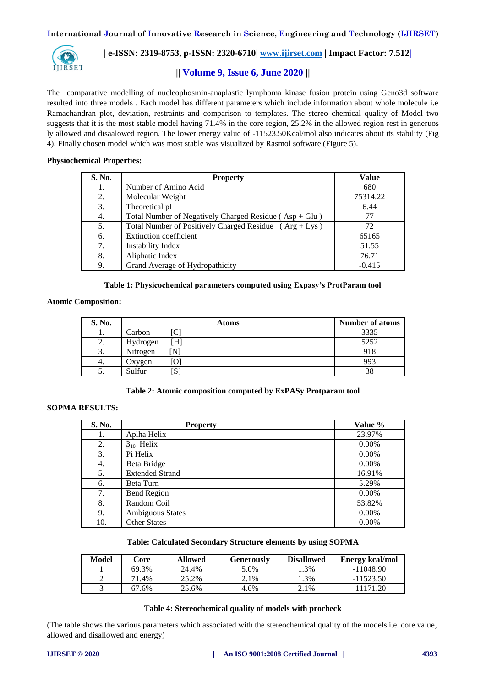

# **|| Volume 9, Issue 6, June 2020 ||**

The comparative modelling of nucleophosmin-anaplastic lymphoma kinase fusion protein using Geno3d software resulted into three models . Each model has different parameters which include information about whole molecule i.e Ramachandran plot, deviation, restraints and comparison to templates. The stereo chemical quality of Model two suggests that it is the most stable model having 71.4% in the core region, 25.2% in the allowed region rest in generuos ly allowed and disaalowed region. The lower energy value of -11523.50Kcal/mol also indicates about its stability (Fig 4). Finally chosen model which was most stable was visualized by Rasmol software (Figure 5).

## **Physiochemical Properties:**

| S. No. | <b>Property</b>                                            | <b>Value</b> |
|--------|------------------------------------------------------------|--------------|
| 1.     | Number of Amino Acid                                       | 680          |
| 2.     | Molecular Weight                                           | 75314.22     |
| 3.     | Theoretical pI                                             | 6.44         |
| 4.     | Total Number of Negatively Charged Residue ( $Asp + Glu$ ) | 77           |
| 5.     | Total Number of Positively Charged Residue $(Arg + Lys)$   | 72           |
| 6.     | <b>Extinction coefficient</b>                              | 65165        |
| 7.     | <b>Instability Index</b>                                   | 51.55        |
| 8.     | Aliphatic Index                                            | 76.71        |
| 9.     | Grand Average of Hydropathicity                            | $-0.415$     |

#### **Table 1: Physicochemical parameters computed using Expasy's ProtParam tool**

## **Atomic Composition:**

| S. No.  |          | <b>Atoms</b> | <b>Number of atoms</b> |
|---------|----------|--------------|------------------------|
|         | Carbon   |              | 3335                   |
| ◠<br>۷. | Hydrogen | $\rm H$      | 5252                   |
| 3.      | Nitrogen |              | 918                    |
| 4.      | Oxygen   | O            | 993                    |
| ິ.      | Sulfur   | ∣ພ           | 38                     |

## **Table 2: Atomic composition computed by ExPASy Protparam tool**

## **SOPMA RESULTS:**

| S. No. | <b>Property</b>         | Value % |
|--------|-------------------------|---------|
| 1.     | Aplha Helix             | 23.97%  |
| 2.     | $3_{10}$ Helix          | 0.00%   |
| 3.     | Pi Helix                | 0.00%   |
| 4.     | Beta Bridge             | 0.00%   |
| 5.     | <b>Extended Strand</b>  | 16.91%  |
| 6.     | Beta Turn               | 5.29%   |
| 7.     | <b>Bend Region</b>      | 0.00%   |
| 8.     | Random Coil             | 53.82%  |
| 9.     | <b>Ambiguous States</b> | 0.00%   |
| 10.    | <b>Other States</b>     | 0.00%   |

#### **Table: Calculated Secondary Structure elements by using SOPMA**

| Model | Core  | <b>Allowed</b> | Generouslv | <b>Disallowed</b> | <b>Energy kcal/mol</b> |
|-------|-------|----------------|------------|-------------------|------------------------|
|       | 69.3% | 24.4%          | 5.0%       | .3%               | $-11048.90$            |
| ∸     | 71.4% | 25.2%          | 2.1%       | .3%               | $-11523.50$            |
|       | 67.6% | 25.6%          | 4.6%       | 2.1%              | $-11171.20$            |

#### **Table 4: Stereochemical quality of models with procheck**

(The table shows the various parameters which associated with the stereochemical quality of the models i.e. core value, allowed and disallowed and energy)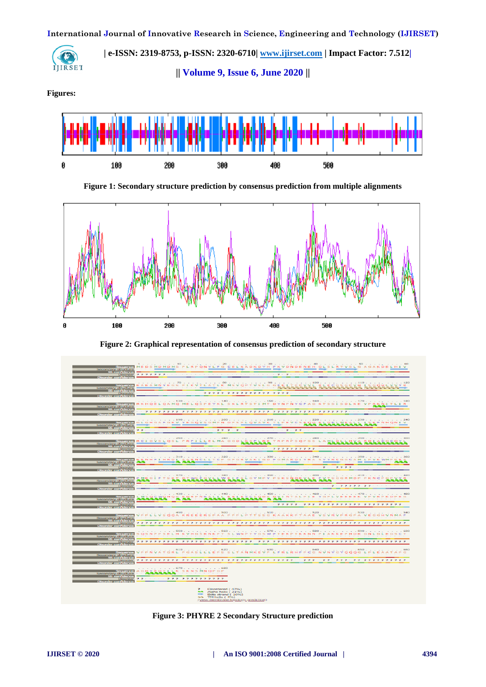**International Journal of Innovative Research in Science, Engineering and Technology (IJIRSET)**



 **| e-ISSN: 2319-8753, p-ISSN: 2320-6710| [www.ijirset.com](http://www.ijirset.com/) | Impact Factor: 7.512| || Volume 9, Issue 6, June 2020 ||** 

**Figures:**



**Figure 1: Secondary structure prediction by consensus prediction from multiple alignments**



**Figure 2: Graphical representation of consensus prediction of secondary structure**



**Figure 3: PHYRE 2 Secondary Structure prediction**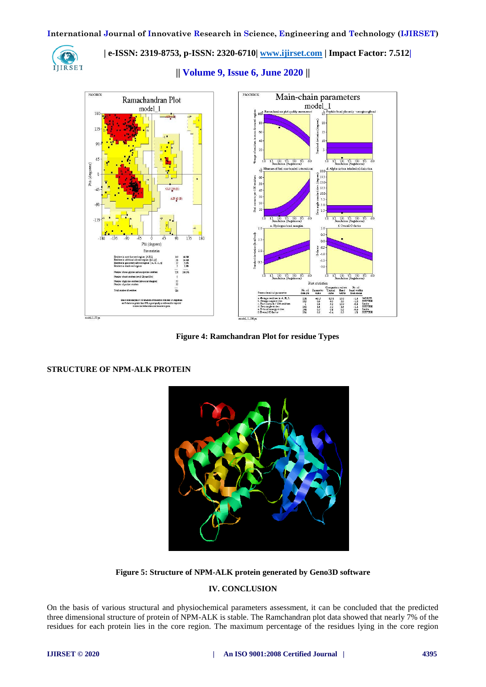

**|| Volume 9, Issue 6, June 2020 ||** 



**Figure 4: Ramchandran Plot for residue Types**

**STRUCTURE OF NPM-ALK PROTEIN**



**Figure 5: Structure of NPM-ALK protein generated by Geno3D software**

## **IV. CONCLUSION**

On the basis of various structural and physiochemical parameters assessment, it can be concluded that the predicted three dimensional structure of protein of NPM-ALK is stable. The Ramchandran plot data showed that nearly 7% of the residues for each protein lies in the core region. The maximum percentage of the residues lying in the core region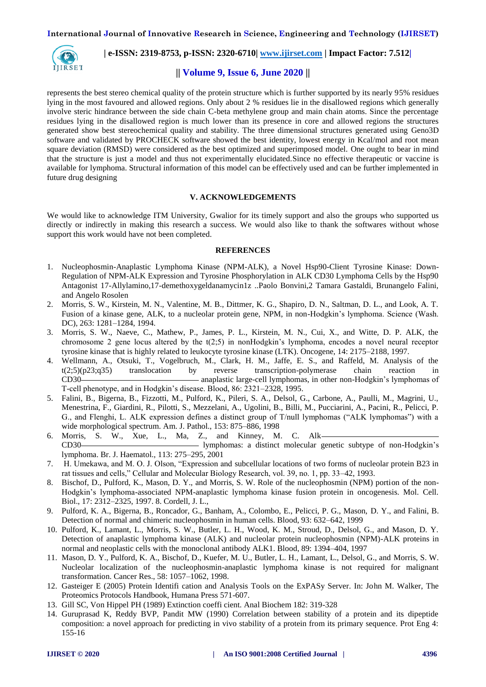

# **|| Volume 9, Issue 6, June 2020 ||**

represents the best stereo chemical quality of the protein structure which is further supported by its nearly 95% residues lying in the most favoured and allowed regions. Only about 2 % residues lie in the disallowed regions which generally involve steric hindrance between the side chain C-beta methylene group and main chain atoms. Since the percentage residues lying in the disallowed region is much lower than its presence in core and allowed regions the structures generated show best stereochemical quality and stability. The three dimensional structures generated using Geno3D software and validated by PROCHECK software showed the best identity, lowest energy in Kcal/mol and root mean square deviation (RMSD) were considered as the best optimized and superimposed model. One ought to bear in mind that the structure is just a model and thus not experimentally elucidated.Since no effective therapeutic or vaccine is available for lymphoma. Structural information of this model can be effectively used and can be further implemented in future drug designing

#### **V. ACKNOWLEDGEMENTS**

We would like to acknowledge ITM University, Gwalior for its timely support and also the groups who supported us directly or indirectly in making this research a success. We would also like to thank the softwares without whose support this work would have not been completed.

#### **REFERENCES**

- 1. Nucleophosmin-Anaplastic Lymphoma Kinase (NPM-ALK), a Novel Hsp90-Client Tyrosine Kinase: Down-Regulation of NPM-ALK Expression and Tyrosine Phosphorylation in ALK CD30 Lymphoma Cells by the Hsp90 Antagonist 17-Allylamino,17-demethoxygeldanamycin1z ..Paolo Bonvini,2 Tamara Gastaldi, Brunangelo Falini, and Angelo Rosolen
- 2. Morris, S. W., Kirstein, M. N., Valentine, M. B., Dittmer, K. G., Shapiro, D. N., Saltman, D. L., and Look, A. T. Fusion of a kinase gene, ALK, to a nucleolar protein gene, NPM, in non-Hodgkin's lymphoma. Science (Wash. DC), 263: 1281–1284, 1994.
- 3. Morris, S. W., Naeve, C., Mathew, P., James, P. L., Kirstein, M. N., Cui, X., and Witte, D. P. ALK, the chromosome 2 gene locus altered by the t(2;5) in nonHodgkin's lymphoma, encodes a novel neural receptor tyrosine kinase that is highly related to leukocyte tyrosine kinase (LTK). Oncogene, 14: 2175–2188, 1997.
- 4. Wellmann, A., Otsuki, T., Vogelbruch, M., Clark, H. M., Jaffe, E. S., and Raffeld, M. Analysis of the  $t(2,5)(p23;q35)$  translocation by reverse transcription-polymerase chain reaction in CD30 anaplastic large-cell lymphomas, in other non-Hodgkin's lymphomas of T-cell phenotype, and in Hodgkin's disease. Blood, 86: 2321–2328, 1995.
- 5. Falini, B., Bigerna, B., Fizzotti, M., Pulford, K., Pileri, S. A., Delsol, G., Carbone, A., Paulli, M., Magrini, U., Menestrina, F., Giardini, R., Pilotti, S., Mezzelani, A., Ugolini, B., Billi, M., Pucciarini, A., Pacini, R., Pelicci, P. G., and Flenghi, L. ALK expression defines a distinct group of T/null lymphomas ("ALK lymphomas") with a wide morphological spectrum. Am. J. Pathol., 153: 875–886, 1998
- 6. Morris, S. W., Xue, L., Ma, Z., and Kinney, M. C. Alk CD30 lymphomas: a distinct molecular genetic subtype of non-Hodgkin's lymphoma. Br. J. Haematol., 113: 275–295, 2001
- 7. H. Umekawa, and M. O. J. Olson, "Expression and subcellular locations of two forms of nucleolar protein B23 in rat tissues and cells," Cellular and Molecular Biology Research, vol. 39, no. 1, pp. 33–42, 1993.
- 8. Bischof, D., Pulford, K., Mason, D. Y., and Morris, S. W. Role of the nucleophosmin (NPM) portion of the non-Hodgkin's lymphoma-associated NPM-anaplastic lymphoma kinase fusion protein in oncogenesis. Mol. Cell. Biol., 17: 2312–2325, 1997. 8. Cordell, J. L.,
- 9. Pulford, K. A., Bigerna, B., Roncador, G., Banham, A., Colombo, E., Pelicci, P. G., Mason, D. Y., and Falini, B. Detection of normal and chimeric nucleophosmin in human cells. Blood, 93: 632–642, 1999
- 10. Pulford, K., Lamant, L., Morris, S. W., Butler, L. H., Wood, K. M., Stroud, D., Delsol, G., and Mason, D. Y. Detection of anaplastic lymphoma kinase (ALK) and nucleolar protein nucleophosmin (NPM)-ALK proteins in normal and neoplastic cells with the monoclonal antibody ALK1. Blood, 89: 1394–404, 1997
- 11. Mason, D. Y., Pulford, K. A., Bischof, D., Kuefer, M. U., Butler, L. H., Lamant, L., Delsol, G., and Morris, S. W. Nucleolar localization of the nucleophosmin-anaplastic lymphoma kinase is not required for malignant transformation. Cancer Res., 58: 1057–1062, 1998.
- 12. Gasteiger E (2005) Protein Identifi cation and Analysis Tools on the ExPASy Server. In: John M. Walker, The Proteomics Protocols Handbook, Humana Press 571-607.
- 13. Gill SC, Von Hippel PH (1989) Extinction coeffi cient. Anal Biochem 182: 319-328
- 14. Guruprasad K, Reddy BVP, Pandit MW (1990) Correlation between stability of a protein and its dipeptide composition: a novel approach for predicting in vivo stability of a protein from its primary sequence. Prot Eng 4: 155-16